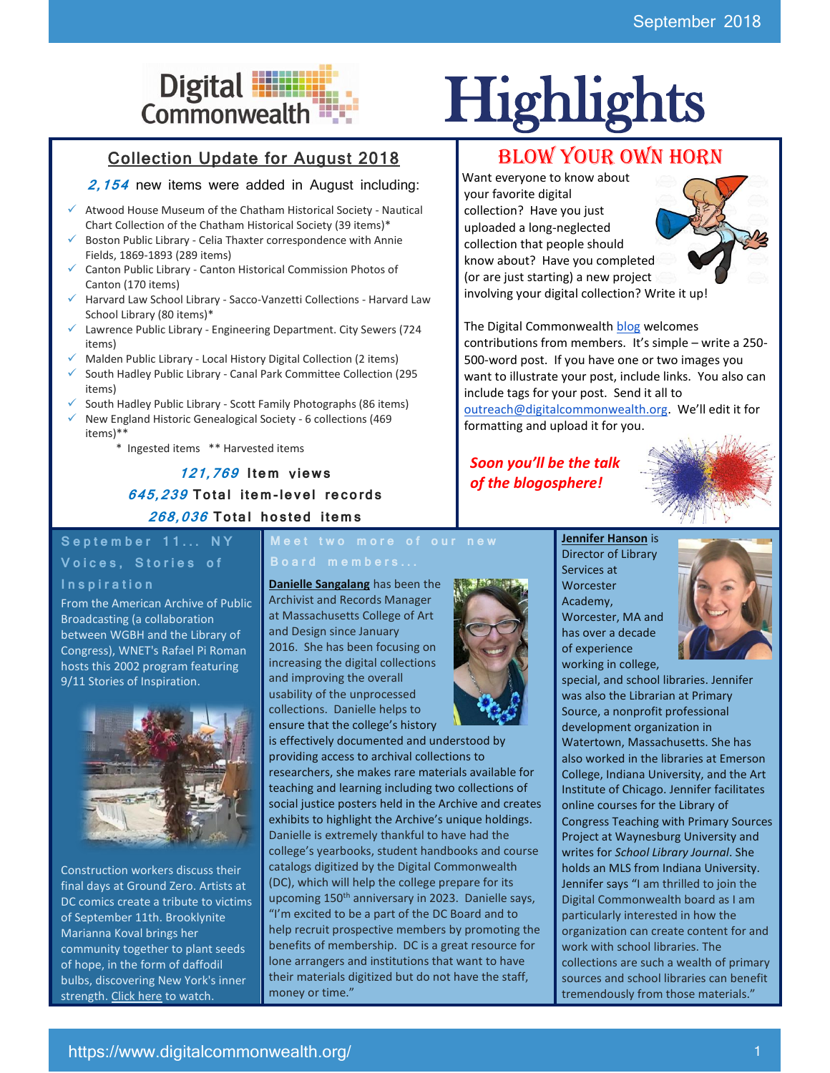# Collection Update for August 2018

# **2,154** new items were added in August including:

- $\checkmark$  Atwood House Museum of the Chatham Historical Society Nautical Chart Collection of the Chatham Historical Society (39 items)\*
- Boston Public Library Celia Thaxter correspondence with Annie Fields, 1869-1893 (289 items)
- ✓ Canton Public Library Canton Historical Commission Photos of Canton (170 items)
- Harvard Law School Library Sacco-Vanzetti Collections Harvard Law School Library (80 items)\*
- Lawrence Public Library Engineering Department. City Sewers (724 items)
- Malden Public Library Local History Digital Collection (2 items)
- South Hadley Public Library Canal Park Committee Collection (295 items)
- South Hadley Public Library Scott Family Photographs (86 items)
- ✓ New England Historic Genealogical Society 6 collections (469 items)\*\*
	- \* Ingested items \*\* Harvested items

**121,769 I tem** v**iew s 645,239 To tal i tem-le vel re co rds 268,036 To tal ho s ted i tem s**

# September 11... NY Voices, Stories of

#### **I n s p i r a t i o n**

From the American Archive of Public Broadcasting (a collaboration between WGBH and the Library of Congress), WNET's Rafael Pi Roman hosts this 2002 program featuring 9/11 Stories of Inspiration.



Construction workers discuss their final days at Ground Zero. Artists at DC comics create a tribute to victims of September 11th. Brooklynite Marianna Koval brings her community together to plant seeds of hope, in the form of daffodil bulbs, discovering New York's inner strength. [Click here](http://americanarchive.org/catalog/cpb-aacip_75-29b5mqw9) to watch.

**Meet two more of our new** 

**Danielle Sangalang** has been the Archivist and Records Manager at Massachusetts College of Art and Design since January 2016. She has been focusing on increasing the digital collections and improving the overall usability of the unprocessed collections. Danielle helps to ensure that the college's history



# Digital **Highlights**<br>Commonwealth

# BLOW YOUR OWN HORN

Want everyone to know about your favorite digital collection? Have you just uploaded a long-neglected collection that people should know about? Have you completed (or are just starting) a new project involving your digital collection? Write it up!



The Digital Commonwealth [blog](http://blog.digitalcommonwealth.org/) welcomes contributions from members. It's simple – write a 250- 500-word post. If you have one or two images you want to illustrate your post, include links. You also can include tags for your post. Send it all to [outreach@digitalcommonwealth.org.](mailto:outreach@digitalcommonwealth.org) We'll edit it for formatting and upload it for you.

# *Soon you'll be the talk of the blogosphere!*



**Jennifer Hanson** is Director of Library Services at **Worcester** Academy, Worcester, MA and has over a decade of experience working in college,



special, and school libraries. Jennifer was also the Librarian at Primary Source, a nonprofit professional development organization in Watertown, Massachusetts. She has also worked in the libraries at Emerson College, Indiana University, and the Art Institute of Chicago. Jennifer facilitates online courses for the Library of Congress Teaching with Primary Sources Project at Waynesburg University and writes for *School Library Journal*. She holds an MLS from Indiana University. Jennifer says "I am thrilled to join the Digital Commonwealth board as I am particularly interested in how the organization can create content for and work with school libraries. The collections are such a wealth of primary sources and school libraries can benefit tremendously from those materials."